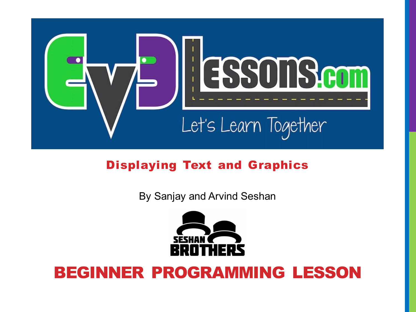

#### Displaying Text and Graphics

By Sanjay and Arvind Seshan



### BEGINNER PROGRAMMING LESSON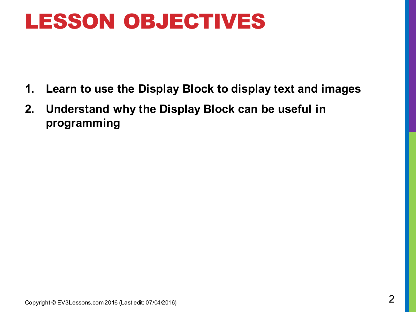### LESSON OBJECTIVES

- **1. Learn to use the Display Block to display text and images**
- **2. Understand why the Display Block can be useful in programming**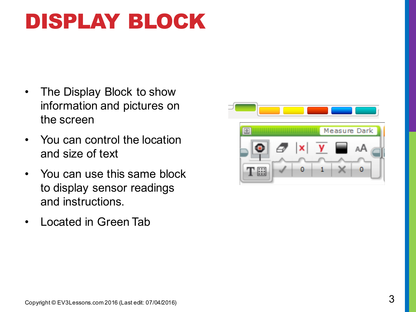# DISPLAY BLOCK

- The Display Block to show information and pictures on the screen
- You can control the location and size of text
- You can use this same block to display sensor readings and instructions.
- Located in Green Tab

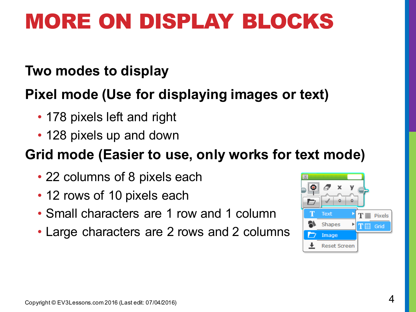## MORE ON DISPLAY BLOCKS

#### **Two modes to display**

### **Pixel mode (Use for displaying images or text)**

- 178 pixels left and right
- 128 pixels up and down

### **Grid mode (Easier to use, only works for text mode)**

- 22 columns of 8 pixels each
- 12 rows of 10 pixels each
- Small characters are 1 row and 1 column
- Large characters are 2 rows and 2 columns

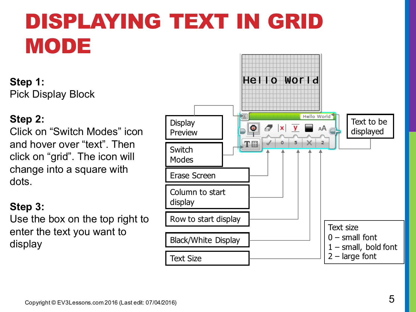# DISPLAYING TEXT IN GRID MODE

**Step 1:**  Pick Display Block

#### **Step 2:**

Click on "Switch Modes" icon and hover over "text". Then click on "grid". The icon will change into a square with dots.

#### **Step 3:**

Use the box on the top right to enter the text you want to display

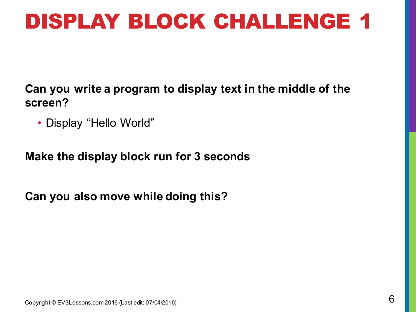## DISPLAY BLOCK CHALLENGE 1

**Can you write a program to display text in the middle of the screen?**

• Display "Hello World"

**Make the display block run for 3 seconds**

**Can you also move while doing this?**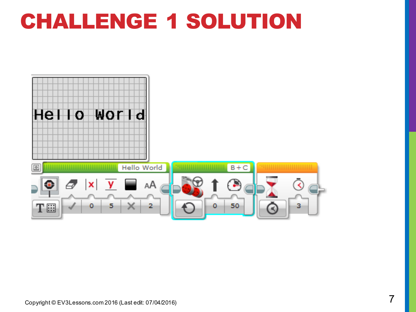### CHALLENGE 1 SOLUTION

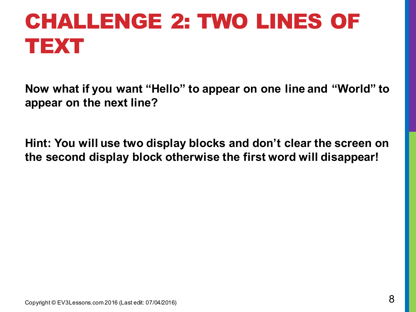# CHALLENGE 2: TWO LINES OF TEXT

**Now what if you want "Hello" to appear on one line and "World" to appear on the next line?**

**Hint: You will use two display blocks and don't clear the screen on the second display block otherwise the first word will disappear!**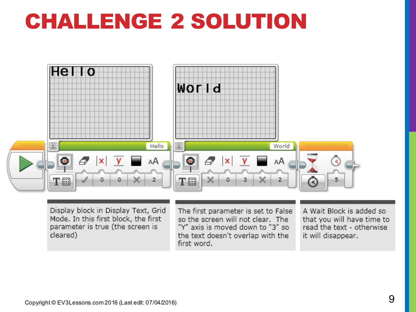## CHALLENGE 2 SOLUTION



Display block in Display Text, Grid Mode. In this first block, the first parameter is true (the screen is cleared)

The first parameter is set to False so the screen will not clear. The "Y" axis is moved down to "3" so the text doesn't overlap with the first word.

A Wait Block is added so that you will have time to read the text - otherwise it will disappear.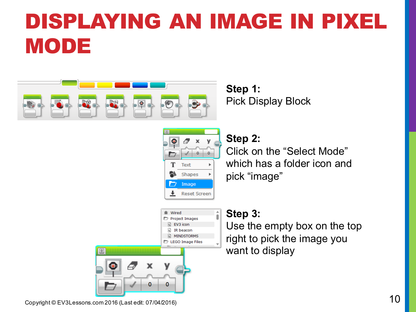# DISPLAYING AN IMAGE IN PIXEL MODE



**Step 1:**  Pick Display Block



#### **Step 2:**

Click on the "Select Mode" which has a folder icon and pick "image"



#### **Step 3:**

Use the empty box on the top right to pick the image you want to display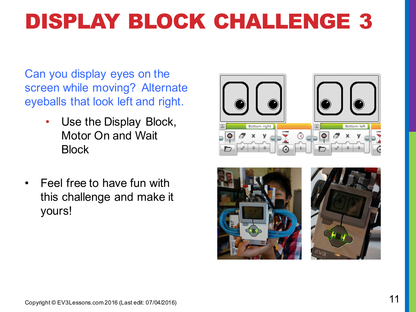# DISPLAY BLOCK CHALLENGE 3

Can you display eyes on the screen while moving? Alternate eyeballs that look left and right.

- Use the Display Block, Motor On and Wait **Block**
- Feel free to have fun with this challenge and make it yours!





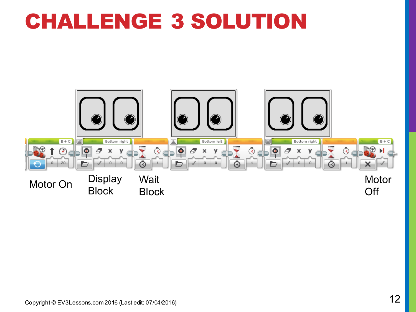### CHALLENGE 3 SOLUTION

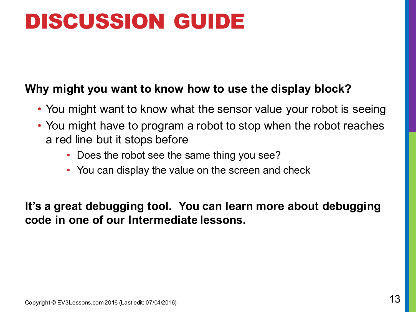## DISCUSSION GUIDE

#### **Why might you want to know how to use the display block?**

- You might want to know what the sensor value your robot is seeing
- You might have to program a robot to stop when the robot reaches a red line but it stops before
	- Does the robot see the same thing you see?
	- You can display the value on the screen and check

**It's a great debugging tool. You can learn more about debugging code in one of our Intermediate lessons.**